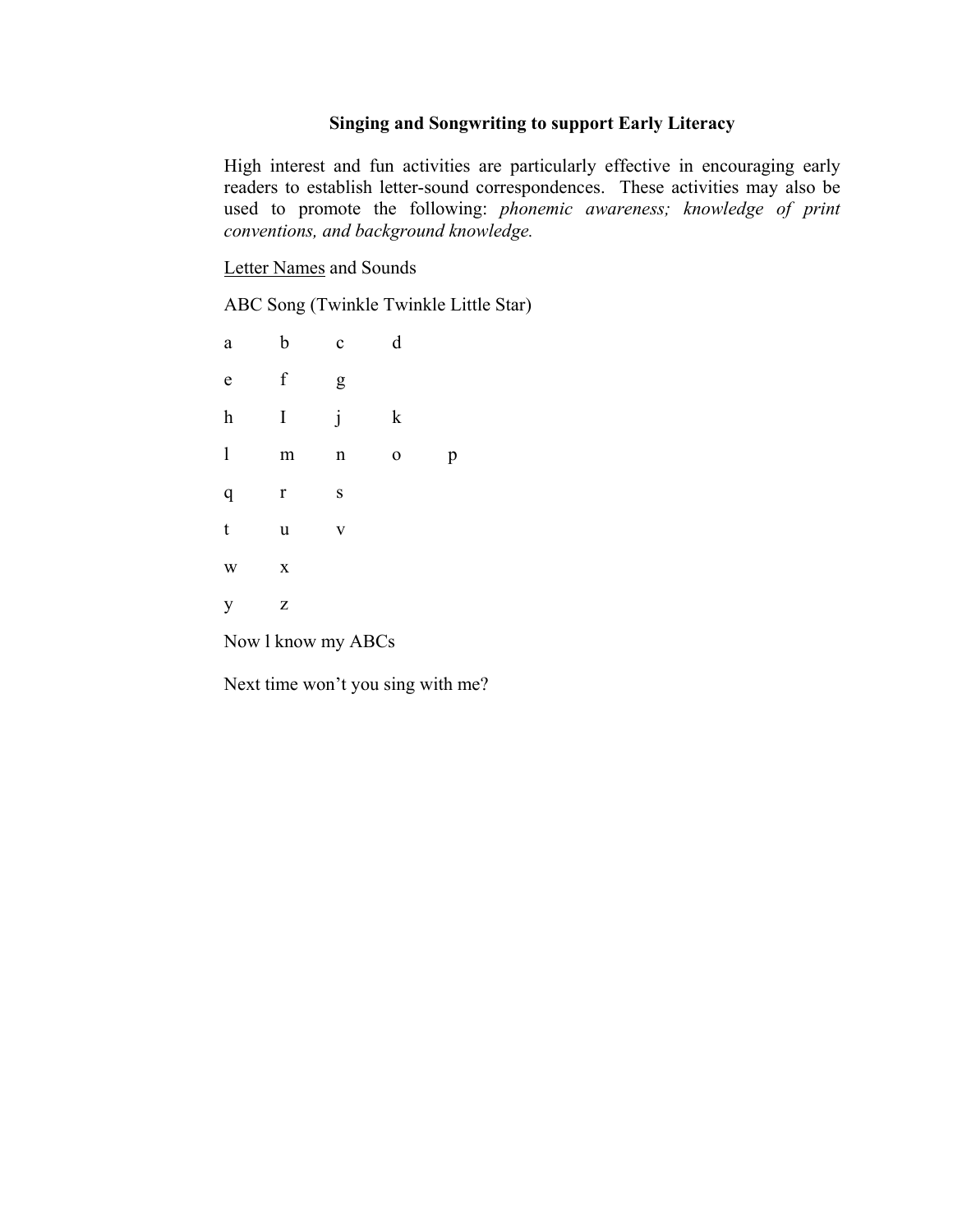# **Singing and Songwriting to support Early Literacy**

High interest and fun activities are particularly effective in encouraging early readers to establish letter-sound correspondences. These activities may also be used to promote the following: *phonemic awareness; knowledge of print conventions, and background knowledge.*

Letter Names and Sounds

ABC Song (Twinkle Twinkle Little Star)

| $\rm{a}$                  | $\mathbf b$ | $\mathbf c$ | $\rm d$     |   |
|---------------------------|-------------|-------------|-------------|---|
| $\mathbf e$               | $\mathbf f$ | g           |             |   |
| $\boldsymbol{\textbf{h}}$ | I           | j           | $\mathbf k$ |   |
| $\mathbf{l}$              | m           | $\mathbf n$ | $\mathbf 0$ | p |
| $\mathbf q$               | $\mathbf r$ | S           |             |   |
| $\mathfrak{t}$            | $\mathbf u$ | $\mathbf V$ |             |   |
| W                         | $\mathbf X$ |             |             |   |
| y                         | Z           |             |             |   |

Now l know my ABCs

Next time won't you sing with me?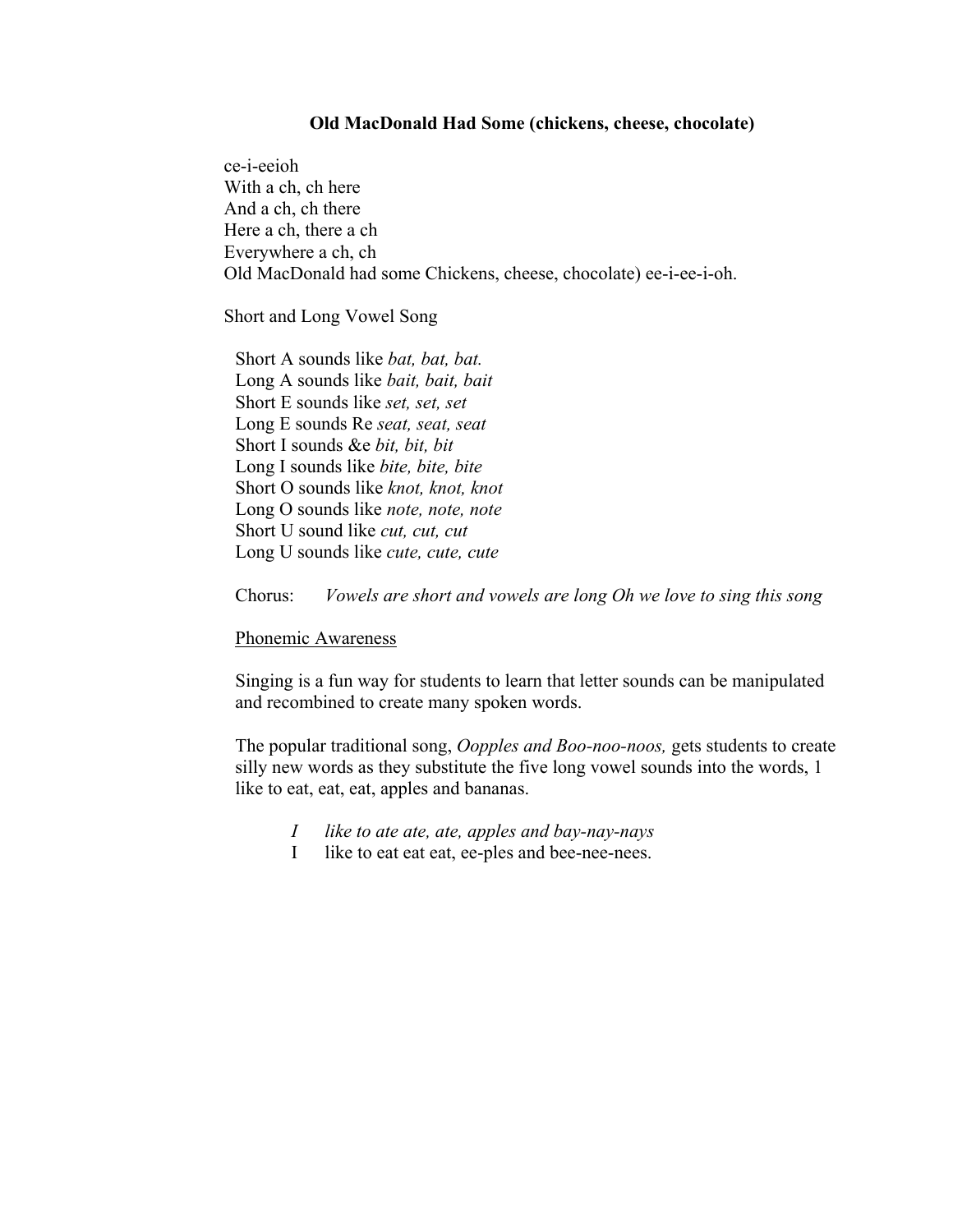#### **Old MacDonald Had Some (chickens, cheese, chocolate)**

ce-i-eeioh With a ch, ch here And a ch, ch there Here a ch, there a ch Everywhere a ch, ch Old MacDonald had some Chickens, cheese, chocolate) ee-i-ee-i-oh.

Short and Long Vowel Song

Short A sounds like *bat, bat, bat.* Long A sounds like *bait, bait, bait* Short E sounds like *set, set, set* Long E sounds Re *seat, seat, seat* Short I sounds &e *bit, bit, bit* Long I sounds like *bite, bite, bite* Short O sounds like *knot, knot, knot* Long O sounds like *note, note, note* Short U sound like *cut, cut, cut* Long U sounds like *cute, cute, cute*

Chorus: *Vowels are short and vowels are long Oh we love to sing this song*

#### Phonemic Awareness

Singing is a fun way for students to learn that letter sounds can be manipulated and recombined to create many spoken words.

The popular traditional song, *Oopples and Boo-noo-noos,* gets students to create silly new words as they substitute the five long vowel sounds into the words, 1 like to eat, eat, eat, apples and bananas.

- *I like to ate ate, ate, apples and bay-nay-nays*
- I like to eat eat eat, ee-ples and bee-nee-nees.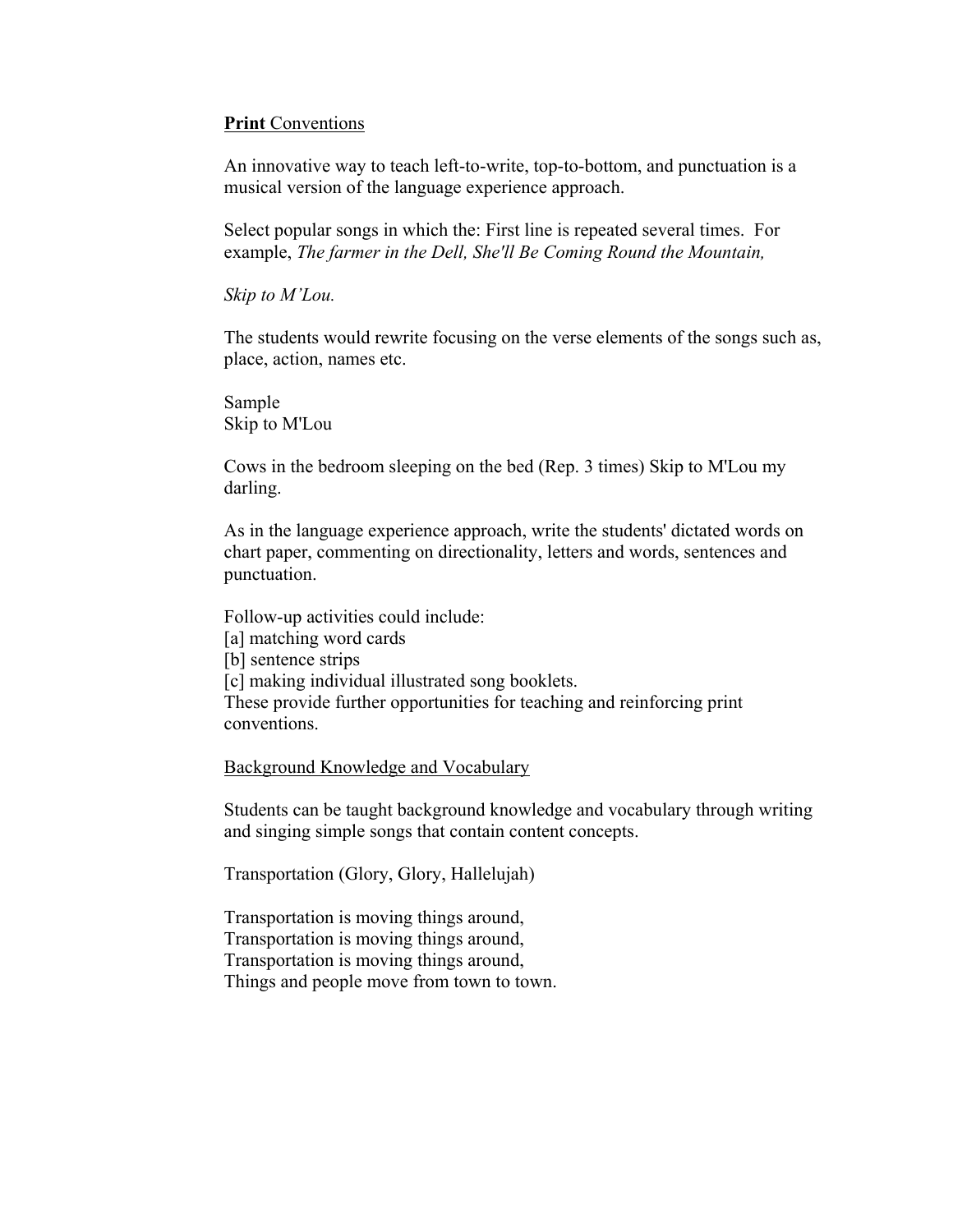## **Print** Conventions

An innovative way to teach left-to-write, top-to-bottom, and punctuation is a musical version of the language experience approach.

Select popular songs in which the: First line is repeated several times. For example, *The farmer in the Dell, She'll Be Coming Round the Mountain,*

*Skip to M'Lou.*

The students would rewrite focusing on the verse elements of the songs such as, place, action, names etc.

Sample Skip to M'Lou

Cows in the bedroom sleeping on the bed (Rep. 3 times) Skip to M'Lou my darling.

As in the language experience approach, write the students' dictated words on chart paper, commenting on directionality, letters and words, sentences and punctuation.

Follow-up activities could include:

[a] matching word cards

[b] sentence strips

[c] making individual illustrated song booklets.

These provide further opportunities for teaching and reinforcing print conventions.

Background Knowledge and Vocabulary

Students can be taught background knowledge and vocabulary through writing and singing simple songs that contain content concepts.

Transportation (Glory, Glory, Hallelujah)

Transportation is moving things around, Transportation is moving things around, Transportation is moving things around, Things and people move from town to town.